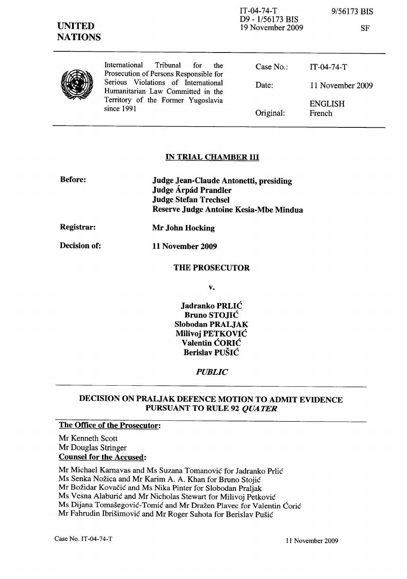| <b>UNITED</b><br><b>NATIONS</b> |                                                                                                                              | $IT-04-74-T$<br>D9 - 1/56173 BIS<br>19 November 2009 | 9/56173 BIS<br><b>SF</b> |
|---------------------------------|------------------------------------------------------------------------------------------------------------------------------|------------------------------------------------------|--------------------------|
|                                 | International<br>Tribunal<br>for<br>the<br>Prosecution of Persons Responsible for                                            | Case $No.$ :                                         | $IT-04-74-T$             |
|                                 | Serious Violations of International<br>Humanitarian Law Committed in the<br>Territory of the Former Yugoslavia<br>since 1991 | Date:                                                | 11 November 2009         |
|                                 |                                                                                                                              | Original:                                            | <b>ENGLISH</b><br>French |

## IN TRIAL CHAMBER III

| <b>Before:</b>    | Judge Jean-Claude Antonetti, presiding<br>Judge Árpád Prandler<br><b>Judge Stefan Trechsel</b><br>Reserve Judge Antoine Kesia-Mbe Mindua |
|-------------------|------------------------------------------------------------------------------------------------------------------------------------------|
| <b>Registrar:</b> | Mr John Hocking                                                                                                                          |
| Decision of:      | 11 November 2009                                                                                                                         |
|                   | <b>THE PROSECUTOR</b>                                                                                                                    |

v.

Jadranko PRLIC Bruno STOJIC Slobodan PRALJAK Milivoj PETKOVIC Valentin CORIC Berislav PUSIC

## *PUBLIC*

# DECISION ON PRALJAK DEFENCE MOTION TO ADMIT EVIDENCE PURSUANT TO RULE 92 *QUATER*

# The Office of the Prosecutor:

Mr Kenneth Scott Mr Douglas Stringer Counsel for the Accused:

Mr Michael Kamavas and Ms Suzana Tomanovic for Jadranko Prlic

Ms Senka Nožica and Mr Karim A. A. Khan for Bruno Stojić

Mr Bozidar Kovacic and Ms Nika Pinter for Slobodan Praljak

Ms Vesna Alaburic and Mr Nicholas Stewart for Milivoj Petkovic

Ms Dijana Tomašegović-Tomić and Mr Dražen Plavec for Valentin Ćorić

Mr Fahrudin Ibrišimović and Mr Roger Sahota for Berislav Pušić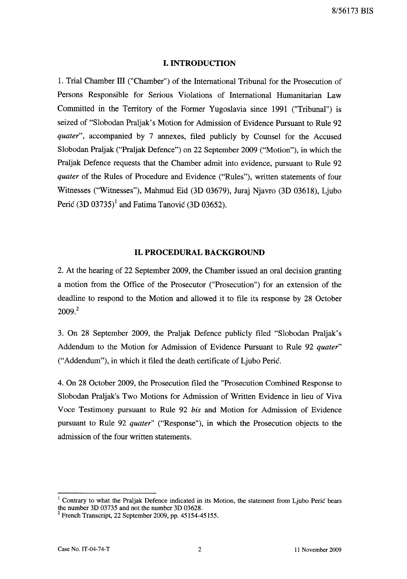#### **I. INTRODUCTION**

1. Trial Chamber III ("Chamber") of the International Tribunal for the Prosecution of Persons Responsible for Serious Violations of International Humanitarian Law Committed in the Territory of the Former Yugoslavia since 1991 ("Tribunal") is seized of "Slobodan Praljak's Motion for Admission of Evidence Pursuant to Rule 92 *quater",* accompanied by 7 annexes, filed publicly by Counsel for the Accused Slobodan Praljak ("Praljak Defence") on 22 September 2009 ("Motion"), in which the Praljak Defence requests that the Chamber admit into evidence, pursuant to Rule 92 *quater* of the Rules of Procedure and Evidence ("Rules"), written statements of four Witnesses ("Witnesses"), Mahmud Eid (3D 03679), Juraj Njavro (3D 03618), Ljubo Peric  $(3D 03735)^1$  and Fatima Tanovic  $(3D 03652)$ .

### **11. PROCEDURAL BACKGROUND**

2. At the hearing of 22 September 2009, the Chamber issued an oral decision granting a motion from the Office of the Prosecutor ("Prosecution") for an extension of the deadline to respond to the Motion and allowed it to file its response by 28 October 2009?

3. On 28 September 2009, the Praljak Defence publicly filed "Slobodan Praljak's Addendum to the Motion for Admission of Evidence Pursuant to Rule 92 *quater"*  ("Addendum"), in which it filed the death certificate of Ljubo Peric.

4. On 28 October 2009, the Prosecution filed the "Prosecution Combined Response to Slobodan Praljak's Two Motions for Admission of Written Evidence in lieu of Viva Voce Testimony pursuant to Rule 92 *his* and Motion for Admission of Evidence pursuant to Rule 92 *quater"* ("Response"), in which the Prosecution objects to the admission of the four written statements.

Contrary to what the Praljak Defence indicated in its Motion, the statement from Ljubo Perić bears the number 3D 03735 and not the number 3D 03628.

 $2$  French Transcript, 22 September 2009, pp. 45154-45155.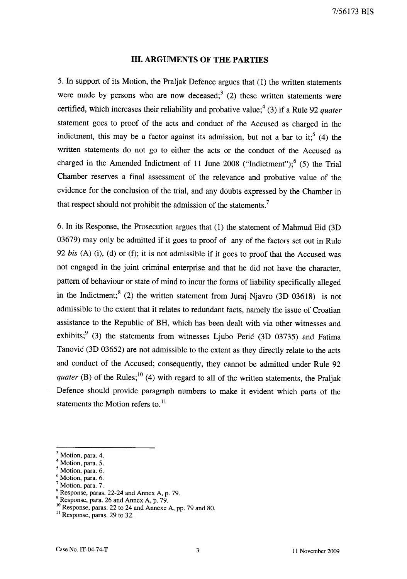#### **Ill.** ARGUMENTS **OF THE PARTIES**

5. In support of its Motion, the Praljak Defence argues that (1) the written statements were made by persons who are now deceased;<sup>3</sup> (2) these written statements were certified, which increases their reliability and probative value;<sup>4</sup> (3) if a Rule 92 *quater* statement goes to proof of the acts and conduct of the Accused as charged in the indictment, this may be a factor against its admission, but not a bar to it;  $(4)$  the written statements do not go to either the acts or the conduct of the Accused as charged in the Amended Indictment of 11 June 2008 ("Indictment");<sup>6</sup> (5) the Trial Chamber reserves a final assessment of the relevance and probative value of the evidence for the conclusion of the trial, and any doubts expressed by the Chamber in that respect should not prohibit the admission of the statements.<sup>7</sup>

6. In its Response, the Prosecution argues that (1) the statement of Mahmud Eid (3D 03679) may only be admitted if it goes to proof of any of the factors set out in Rule *92 his* (A) (i), (d) or (f); it is not admissible if it goes to proof that the Accused was not engaged in the joint criminal enterprise and that he did not have the character, pattern of behaviour or state of mind to incur the forms of liability specifically alleged in the Indictment;<sup>8</sup> (2) the written statement from Juraj Njavro (3D 03618) is not admissible to the extent that it relates to redundant facts, namely the issue of Croatian assistance to the Republic of BR, which has been dealt with via other witnesses and exhibits;<sup>9</sup> (3) the statements from witnesses Ljubo Perić (3D 03735) and Fatima Tanović (3D 03652) are not admissible to the extent as they directly relate to the acts and conduct of the Accused; consequently, they cannot be admitted under Rule 92 *quater* (B) of the Rules;<sup>10</sup> (4) with regard to all of the written statements, the Praljak Defence should provide paragraph numbers to make it evident which parts of the statements the Motion refers to.<sup>11</sup>

<sup>&</sup>lt;sup>3</sup> Motion, para. 4.

<sup>4</sup> Motion, para. 5.

<sup>5</sup> Motion, para. 6.

<sup>6</sup> Motion, para. 6.

Motion, para. 7.

<sup>8</sup> Response, paras. 22-24 and Annex A, p. 79.

<sup>9</sup> Response, para. 26 and Annex A, p. 79.

<sup>10</sup> Response, paras. 22 to 24 and Annexe A, pp. 79 and 80.

 $11$  Response, paras. 29 to 32.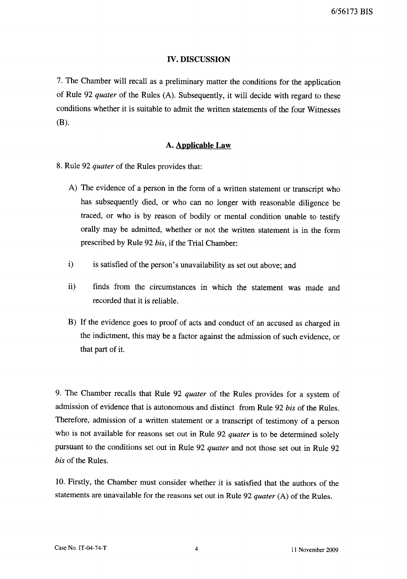#### **IV. DISCUSSION**

7. The Chamber will recall as a preliminary matter the conditions for the application of Rule 92 *quater* of the Rules (A). Subsequently, it will decide with regard to these conditions whether it is suitable to admit the written statements of the four Witnesses  $(B)$ .

#### **A. Applicable Law**

- 8. Rule 92 *quater* of the Rules provides that:
	- A) The evidence of a person in the form of a written statement or transcript who has subsequently died, or who can no longer with reasonable diligence be traced, or who is by reason of bodily or mental condition unable to testify orally may be admitted, whether or not the written statement is in the form prescribed by Rule 92 *bis,* if the Trial Chamber:
	- i) is satisfied of the person's unavailability as set out above; and
	- ii) finds from the circumstances in which the statement was made and recorded that it is reliable.
	- B) If the evidence goes to proof of acts and conduct of an accused as charged in the indictment, this may be a factor against the admission of such evidence, or that part of it.

9. The Chamber recalls that Rule 92 *quater* of the Rules provides for a system of admission of evidence that is autonomous and distinct from Rule 92 *bis* of the Rules. Therefore, admission of a written statement or a transcript of testimony of a person who is not available for reasons set out in Rule 92 *quater* is to be determined solely pursuant to the conditions set out in Rule 92 *quater* and not those set out in Rule 92 *bis* of the Rules.

10. Firstly, the Chamber must consider whether it is satisfied that the authors of the statements are unavailable for the reasons set out in Rule 92 *quater* (A) of the Rules.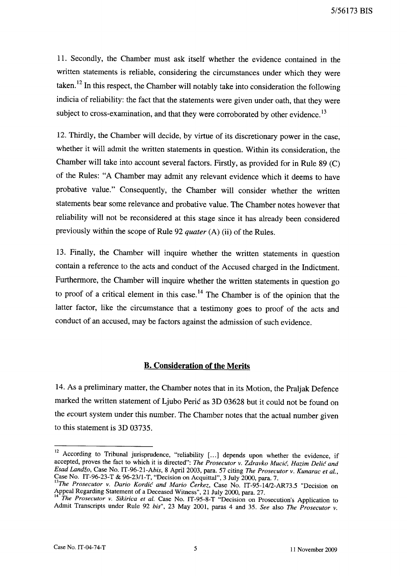5/56173 BIS

11. Secondly, the Chamber must ask itself whether the evidence contained in the written statements is reliable, considering the circumstances under which they were taken. 12 In this respect, the Chamber will notably take into consideration the following indicia of reliability: the fact that the statements were given under oath, that they were subject to cross-examination, and that they were corroborated by other evidence.<sup>13</sup>

12. Thirdly, the Chamber will decide, by virtue of its discretionary power in the case, whether it will admit the written statements in question. Within its consideration, the Chamber will take into account several factors. Firstly, as provided for in Rule  $89$  (C) of the Rules: "A Chamber may admit any relevant evidence which it deems to have probative value." Consequently, the Chamber will consider whether the written statements bear some relevance and probative value. The Chamber notes however that reliability will not be reconsidered at this stage since it has already been considered previously within the scope of Rule 92 *quater* (A) (ii) of the Rules.

13. Finally, the Chamber will inquire whether the written statements in question contain a reference to the acts and conduct of the Accused charged in the Indictment. Furthermore, the Chamber will inquire whether the written statements in question go to proof of a critical element in this case.<sup>14</sup> The Chamber is of the opinion that the latter factor, like the circumstance that a testimony goes to proof of the acts and conduct of an accused, may be factors against the admission of such evidence.

### **B. Consideration of the Merits**

14. As a preliminary matter, the Chamber notes that in its Motion, the Praljak Defence marked the written statement of Ljubo Perić as 3D 03628 but it could not be found on the *ecourt* system under this number. The Chamber notes that the actual number given to this statement is 3D 03735.

<sup>&</sup>lt;sup>12</sup> According to Tribunal jurisprudence, "reliability [...] depends upon whether the evidence, if accepted, proves the fact to which it is directed": *The Prosecutor* v. *Zdravko Mucic, Hazim Delic and Esad Landzo,* Case No. *IT-96-21-Abis,* 8 April 2003, para. 57 citing *The Prosecutor* v. *Kunarac et aI.,*   $\text{Case No. IT-96-23-T & 96-23/1-T}$ , "Decision on Acquittal", 3 July 2000, para. 7.

*<sup>13</sup>The Prosecutor* v. *Dario Kordic and Mario Cerkez,* Case No. IT-95-14/2-AR73.5 "Decision on Appeal Regarding Statement of a Deceased Witness", 21 July 2000, para. 27.

*The Prosecutor v. Sikirica et al.* Case No. IT-95-8-T "Decision on Prosecution's Application to Admit Transcripts under Rule 92 *bis"* , 23 May 2001, paras 4 and 35. *See* also *The Prosecutor* v.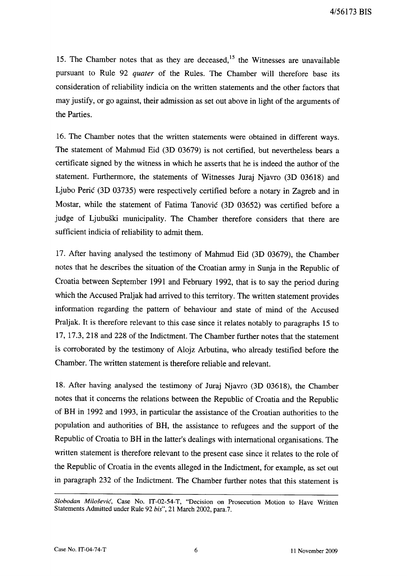15. The Chamber notes that as they are deceased,<sup>15</sup> the Witnesses are unavailable pursuant to Rule 92 *quater* of the Rules. The Chamber will therefore base its consideration of reliability indicia on the written statements and the other factors that may justify, or go against, their admission as set out above in light of the arguments of the Parties.

16. The Chamber notes that the written statements were obtained in different ways. The statement of Mahmud Eid (3D 03679) is not certified, but nevertheless bears a certificate signed by the witness in which he asserts that he is indeed the author of the statement. Furthermore, the statements of Witnesses Juraj Njavro (3D 03618) and Ljubo Peric (3D 03735) were respectively certified before a notary in Zagreb and in Mostar, while the statement of Fatima Tanovic (3D 03652) was certified before a judge of Ljubuski municipality. The Chamber therefore considers that there are sufficient indicia of reliability to admit them.

17. After having analysed the testimony of Mahmud Eid (3D 03679), the Chamber notes that he describes the situation of the Croatian army in Sunja in the Republic of Croatia between September 1991 and February 1992, that is to say the period during which the Accused Praljak had arrived to this territory. The written statement provides information regarding the pattern of behaviour and state of mind of the Accused Praljak:. It is therefore relevant to this case since it relates notably to paragraphs 15 to 17, 17.3, 218 and 228 of the Indictment. The Chamber further notes that the statement is corroborated by the testimony of Alojz Arbutina, who already testified before the Chamber. The written statement is therefore reliable and relevant.

18. After having analysed the testimony of Juraj Njavro (3D 03618), the Chamber notes that it concerns the relations between the Republic of Croatia and the Republic of BH in 1992 and 1993, in particular the assistance of the Croatian authorities to the popUlation and authorities of BH, the assistance to refugees and the support of the Republic of Croatia to BH in the latter's dealings with international organisations. The written statement is therefore relevant to the present case since it relates to the role of the Republic of Croatia in the events alleged in the Indictment, for example, as set out in paragraph 232 of the Indictment. The Chamber further notes that this statement is

*Slobodan Milosevic,* Case No. IT-02-54-T, "Decision on Prosecution Motion to Have Written Statements Admitted under Rule 92 *bis",* 21 March 2002, para.7.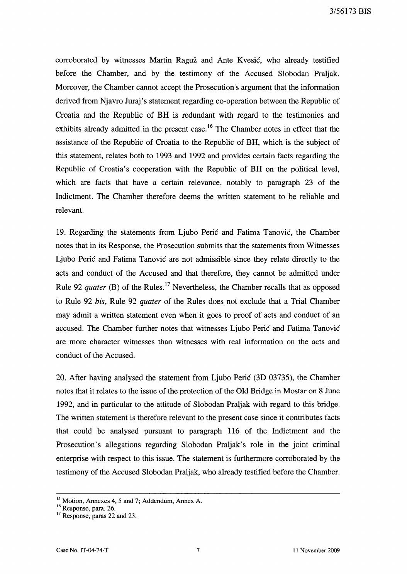3/56173 BIS

corroborated by witnesses Martin Raguž and Ante Kvesić, who already testified before the Chamber, and by the testimony of the Accused Slobodan Praljak. Moreover, the Chamber cannot accept the Prosecution's argument that the information derived from Njavro Juraj's statement regarding co-operation between the Republic of Croatia and the Republic of BR is redundant with regard to the testimonies and exhibits already admitted in the present case.<sup>16</sup> The Chamber notes in effect that the assistance of the Republic of Croatia to the Republic of BR, which is the subject of this statement, relates both to 1993 and 1992 and provides certain facts regarding the Republic of Croatia's cooperation with the Republic of BR on the political level, which are facts that have a certain relevance, notably to paragraph 23 of the Indictment. The Chamber therefore deems the written statement to be reliable and relevant.

19. Regarding the statements from Ljubo Peric and Fatima Tanovic, the Chamber notes that in its Response, the Prosecution submits that the statements from Witnesses Ljubo Peric and Fatima Tanovic are not admissible since they relate directly to the acts and conduct of the Accused and that therefore, they cannot be admitted under Rule 92 *quater* (B) of the Rules.<sup>17</sup> Nevertheless, the Chamber recalls that as opposed to Rule 92 *his,* Rule 92 *quater* of the Rules does not exclude that a Trial Chamber may admit a written statement even when it goes to proof of acts and conduct of an accused. The Chamber further notes that witnesses Ljubo Peric and Fatima Tanovic are more character witnesses than witnesses with real information on the acts and conduct of the Accused.

20. After having analysed the statement from Ljubo Peric (3D 03735), the Chamber notes that it relates to the issue of the protection of the Old Bridge in Mostar on 8 June 1992, and in particular to the attitude of Slobodan Praljak with regard to this bridge. The written statement is therefore relevant to the present case since it contributes facts that could be analysed pursuant to paragraph 116 of the Indictment and the Prosecution's allegations regarding Slobodan Praljak's role in the joint criminal enterprise with respect to this issue. The statement is furthermore corroborated by the testimony of the Accused Slobodan Praljak, who already testified before the Chamber.

<sup>&</sup>lt;sup>15</sup> Motion, Annexes 4, 5 and 7; Addendum, Annex A.

<sup>&</sup>lt;sup>16</sup> Response, para. 26.

<sup>&</sup>lt;sup>17</sup> Response, paras 22 and 23.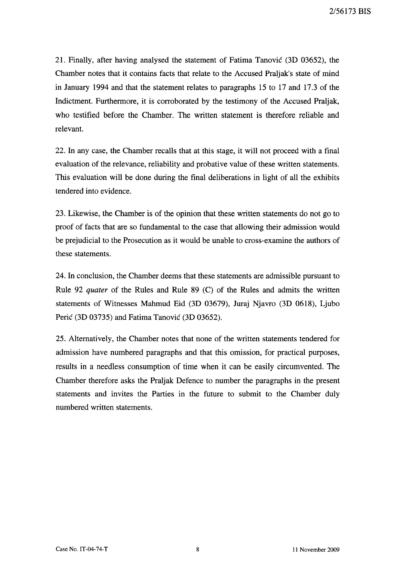21. Finally, after having analysed the statement of Fatima Tanovic (3D 03652), the Chamber notes that it contains facts that relate to the Accused Praljak's state of mind in January 1994 and that the statement relates to paragraphs 15 to 17 and 17.3 of the Indictment. Furthermore, it is corroborated by the testimony of the Accused Praljak, who testified before the Chamber. The written statement is therefore reliable and relevant.

22. In any case, the Chamber recalls that at this stage, it will not proceed with a final evaluation of the relevance, reliability and probative value of these written statements. This evaluation will be done during the final deliberations in light of all the exhibits tendered into evidence.

23. Likewise, the Chamber is of the opinion that these written statements do not go to proof of facts that are so fundamental to the case that allowing their admission would be prejudicial to the Prosecution as it would be unable to cross-examine the authors of these statements.

24. In conclusion, the Chamber deems that these statements are admissible pursuant to Rule 92 *quater* of the Rules and Rule 89 (C) of the Rules and admits the written statements of Witnesses Mahmud Eid (3D 03679), Juraj Njavro (3D 0618), Ljubo Peric (3D 03735) and Fatima Tanovic (3D 03652).

25. Alternatively, the Chamber notes that none of the written statements tendered for admission have numbered paragraphs and that this omission, for practical purposes, results in a needless consumption of time when it can be easily circumvented. The Chamber therefore asks the Praljak Defence to number the paragraphs in the present statements and invites the Parties in the future to submit to the Chamber duly numbered written statements.